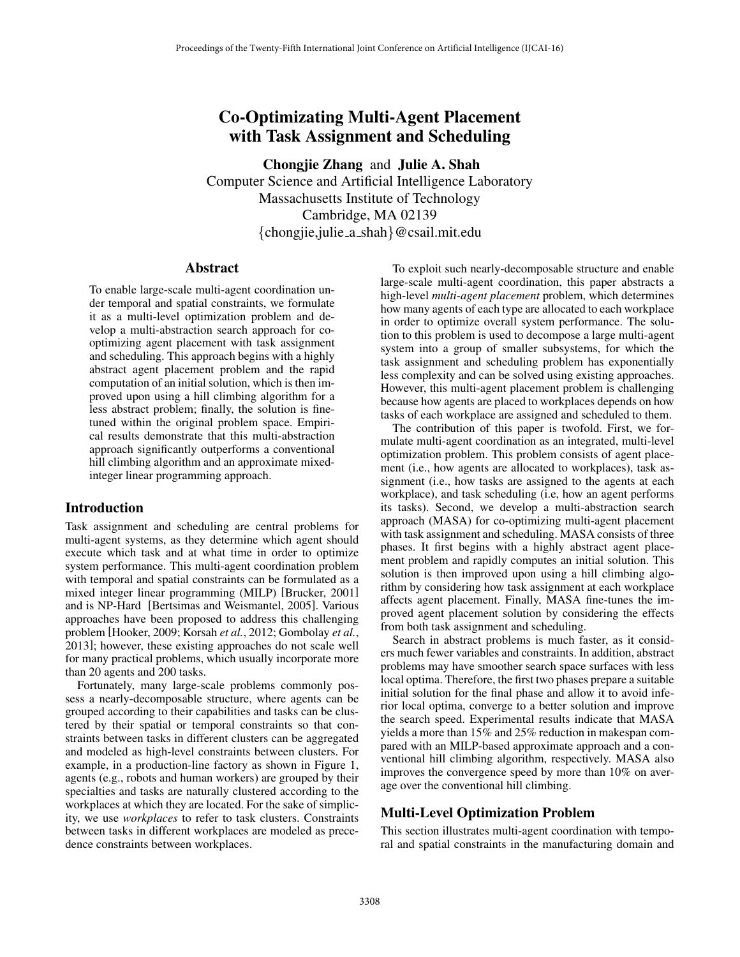# Co-Optimizating Multi-Agent Placement with Task Assignment and Scheduling

Chongjie Zhang and Julie A. Shah Computer Science and Artificial Intelligence Laboratory Massachusetts Institute of Technology Cambridge, MA 02139 *{*chongjie,julie a shah*}*@csail.mit.edu

### Abstract

To enable large-scale multi-agent coordination under temporal and spatial constraints, we formulate it as a multi-level optimization problem and develop a multi-abstraction search approach for cooptimizing agent placement with task assignment and scheduling. This approach begins with a highly abstract agent placement problem and the rapid computation of an initial solution, which is then improved upon using a hill climbing algorithm for a less abstract problem; finally, the solution is finetuned within the original problem space. Empirical results demonstrate that this multi-abstraction approach significantly outperforms a conventional hill climbing algorithm and an approximate mixedinteger linear programming approach.

# Introduction

Task assignment and scheduling are central problems for multi-agent systems, as they determine which agent should execute which task and at what time in order to optimize system performance. This multi-agent coordination problem with temporal and spatial constraints can be formulated as a mixed integer linear programming (MILP) [Brucker, 2001] and is NP-Hard [Bertsimas and Weismantel, 2005]. Various approaches have been proposed to address this challenging problem [Hooker, 2009; Korsah *et al.*, 2012; Gombolay *et al.*, 2013]; however, these existing approaches do not scale well for many practical problems, which usually incorporate more than 20 agents and 200 tasks.

Fortunately, many large-scale problems commonly possess a nearly-decomposable structure, where agents can be grouped according to their capabilities and tasks can be clustered by their spatial or temporal constraints so that constraints between tasks in different clusters can be aggregated and modeled as high-level constraints between clusters. For example, in a production-line factory as shown in Figure 1, agents (e.g., robots and human workers) are grouped by their specialties and tasks are naturally clustered according to the workplaces at which they are located. For the sake of simplicity, we use *workplaces* to refer to task clusters. Constraints between tasks in different workplaces are modeled as precedence constraints between workplaces.

To exploit such nearly-decomposable structure and enable large-scale multi-agent coordination, this paper abstracts a high-level *multi-agent placement* problem, which determines how many agents of each type are allocated to each workplace in order to optimize overall system performance. The solution to this problem is used to decompose a large multi-agent system into a group of smaller subsystems, for which the task assignment and scheduling problem has exponentially less complexity and can be solved using existing approaches. However, this multi-agent placement problem is challenging because how agents are placed to workplaces depends on how tasks of each workplace are assigned and scheduled to them.

The contribution of this paper is twofold. First, we formulate multi-agent coordination as an integrated, multi-level optimization problem. This problem consists of agent placement (i.e., how agents are allocated to workplaces), task assignment (i.e., how tasks are assigned to the agents at each workplace), and task scheduling (i.e, how an agent performs its tasks). Second, we develop a multi-abstraction search approach (MASA) for co-optimizing multi-agent placement with task assignment and scheduling. MASA consists of three phases. It first begins with a highly abstract agent placement problem and rapidly computes an initial solution. This solution is then improved upon using a hill climbing algorithm by considering how task assignment at each workplace affects agent placement. Finally, MASA fine-tunes the improved agent placement solution by considering the effects from both task assignment and scheduling.

Search in abstract problems is much faster, as it considers much fewer variables and constraints. In addition, abstract problems may have smoother search space surfaces with less local optima. Therefore, the first two phases prepare a suitable initial solution for the final phase and allow it to avoid inferior local optima, converge to a better solution and improve the search speed. Experimental results indicate that MASA yields a more than 15% and 25% reduction in makespan compared with an MILP-based approximate approach and a conventional hill climbing algorithm, respectively. MASA also improves the convergence speed by more than 10% on average over the conventional hill climbing.

# Multi-Level Optimization Problem

This section illustrates multi-agent coordination with temporal and spatial constraints in the manufacturing domain and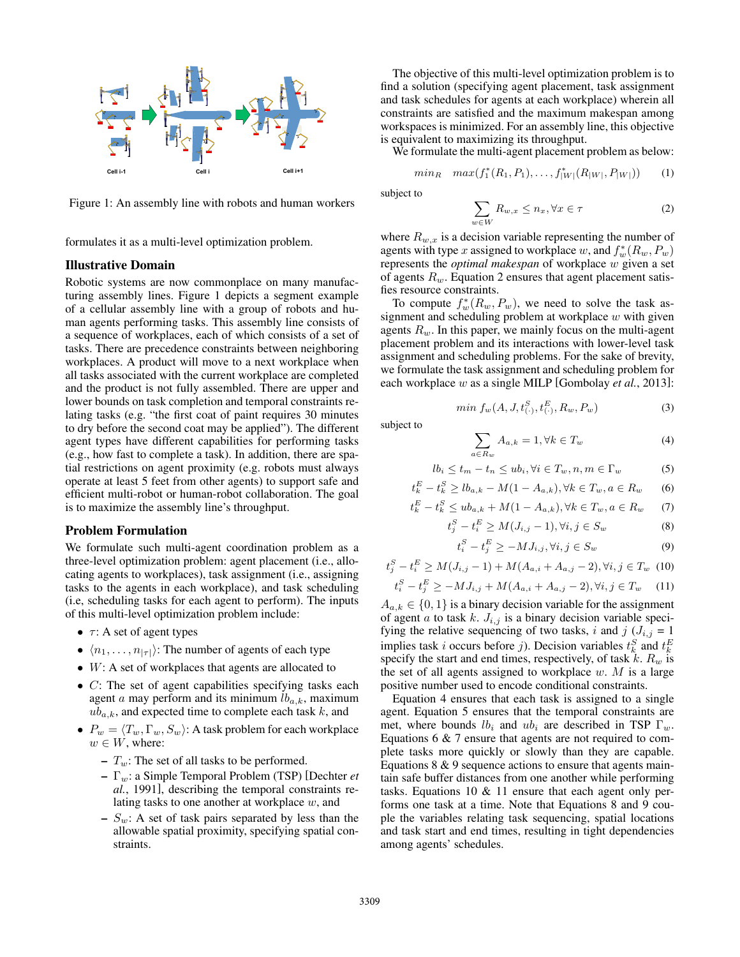

Figure 1: An assembly line with robots and human workers

formulates it as a multi-level optimization problem.

### Illustrative Domain

Robotic systems are now commonplace on many manufacturing assembly lines. Figure 1 depicts a segment example of a cellular assembly line with a group of robots and human agents performing tasks. This assembly line consists of a sequence of workplaces, each of which consists of a set of tasks. There are precedence constraints between neighboring workplaces. A product will move to a next workplace when all tasks associated with the current workplace are completed and the product is not fully assembled. There are upper and lower bounds on task completion and temporal constraints relating tasks (e.g. "the first coat of paint requires 30 minutes to dry before the second coat may be applied"). The different agent types have different capabilities for performing tasks (e.g., how fast to complete a task). In addition, there are spatial restrictions on agent proximity (e.g. robots must always operate at least 5 feet from other agents) to support safe and efficient multi-robot or human-robot collaboration. The goal is to maximize the assembly line's throughput.

### Problem Formulation

We formulate such multi-agent coordination problem as a three-level optimization problem: agent placement (i.e., allocating agents to workplaces), task assignment (i.e., assigning tasks to the agents in each workplace), and task scheduling (i.e, scheduling tasks for each agent to perform). The inputs of this multi-level optimization problem include:

- $\tau$ : A set of agent types
- $\langle n_1, \ldots, n_{|\tau|} \rangle$ : The number of agents of each type
- *• W*: A set of workplaces that agents are allocated to
- *• C*: The set of agent capabilities specifying tasks each agent  $a$  may perform and its minimum  $lb_{a,k}$ , maximum *uba,k*, and expected time to complete each task *k*, and
- $P_w = \langle T_w, \Gamma_w, S_w \rangle$ : A task problem for each workplace  $w \in W$ , where:
	- *Tw*: The set of all tasks to be performed.
	- $-\Gamma_w$ : a Simple Temporal Problem (TSP) [Dechter *et al.*, 1991], describing the temporal constraints relating tasks to one another at workplace *w*, and
	- $-S_w$ : A set of task pairs separated by less than the allowable spatial proximity, specifying spatial constraints.

The objective of this multi-level optimization problem is to find a solution (specifying agent placement, task assignment and task schedules for agents at each workplace) wherein all constraints are satisfied and the maximum makespan among workspaces is minimized. For an assembly line, this objective is equivalent to maximizing its throughput.

We formulate the multi-agent placement problem as below:

$$
minR \quad max(f_1^*(R_1, P_1), \dots, f_{|W|}^*(R_{|W|}, P_{|W|})) \qquad (1)
$$

subject to

$$
\sum_{w \in W} R_{w,x} \le n_x, \forall x \in \tau \tag{2}
$$

where  $R_{w,x}$  is a decision variable representing the number of agents with type *x* assigned to workplace *w*, and  $f_w^*(R_w, P_w)$ represents the *optimal makespan* of workplace *w* given a set of agents *Rw*. Equation 2 ensures that agent placement satisfies resource constraints.

To compute  $f_w^*(R_w, P_w)$ , we need to solve the task assignment and scheduling problem at workplace *w* with given agents *Rw*. In this paper, we mainly focus on the multi-agent placement problem and its interactions with lower-level task assignment and scheduling problems. For the sake of brevity, we formulate the task assignment and scheduling problem for each workplace *w* as a single MILP [Gombolay *et al.*, 2013]:

$$
min \, f_w(A, J, t_{(.)}^S, t_{(.)}^E, R_w, P_w) \tag{3}
$$

subject to

$$
\sum_{a \in R_w} A_{a,k} = 1, \forall k \in T_w \tag{4}
$$

$$
lb_i \le t_m - t_n \le ub_i, \forall i \in T_w, n, m \in \Gamma_w \tag{5}
$$

$$
t_k^E - t_k^S \ge lb_{a,k} - M(1 - A_{a,k}), \forall k \in T_w, a \in R_w \tag{6}
$$

$$
t_k^E - t_k^S \le ub_{a,k} + M(1 - A_{a,k}), \forall k \in T_w, a \in R_w \tag{7}
$$

$$
t_j^S - t_i^E \ge M(J_{i,j} - 1), \forall i, j \in S_w
$$
 (8)

$$
t_i^S - t_j^E \ge -MJ_{i,j}, \forall i, j \in S_w \tag{9}
$$

$$
t_j^S - t_i^E \ge M(J_{i,j} - 1) + M(A_{a,i} + A_{a,j} - 2), \forall i, j \in T_w
$$
 (10)

$$
t_i^S - t_j^E \ge -MJ_{i,j} + M(A_{a,i} + A_{a,j} - 2), \forall i, j \in T_w \tag{11}
$$

 $A_{a,k} \in \{0,1\}$  is a binary decision variable for the assignment of agent *a* to task *k*.  $J_{i,j}$  is a binary decision variable specifying the relative sequencing of two tasks, *i* and  $j$  ( $J_{i,j} = 1$ implies task *i* occurs before *j*). Decision variables  $t_k^S$  and  $t_k^E$ specify the start and end times, respectively, of task  $k$ .  $R_w$  is the set of all agents assigned to workplace *w*. *M* is a large positive number used to encode conditional constraints.

Equation 4 ensures that each task is assigned to a single agent. Equation 5 ensures that the temporal constraints are met, where bounds  $lb_i$  and  $ub_i$  are described in TSP  $\Gamma_w$ . Equations 6 & 7 ensure that agents are not required to complete tasks more quickly or slowly than they are capable. Equations 8 & 9 sequence actions to ensure that agents maintain safe buffer distances from one another while performing tasks. Equations 10 & 11 ensure that each agent only performs one task at a time. Note that Equations 8 and 9 couple the variables relating task sequencing, spatial locations and task start and end times, resulting in tight dependencies among agents' schedules.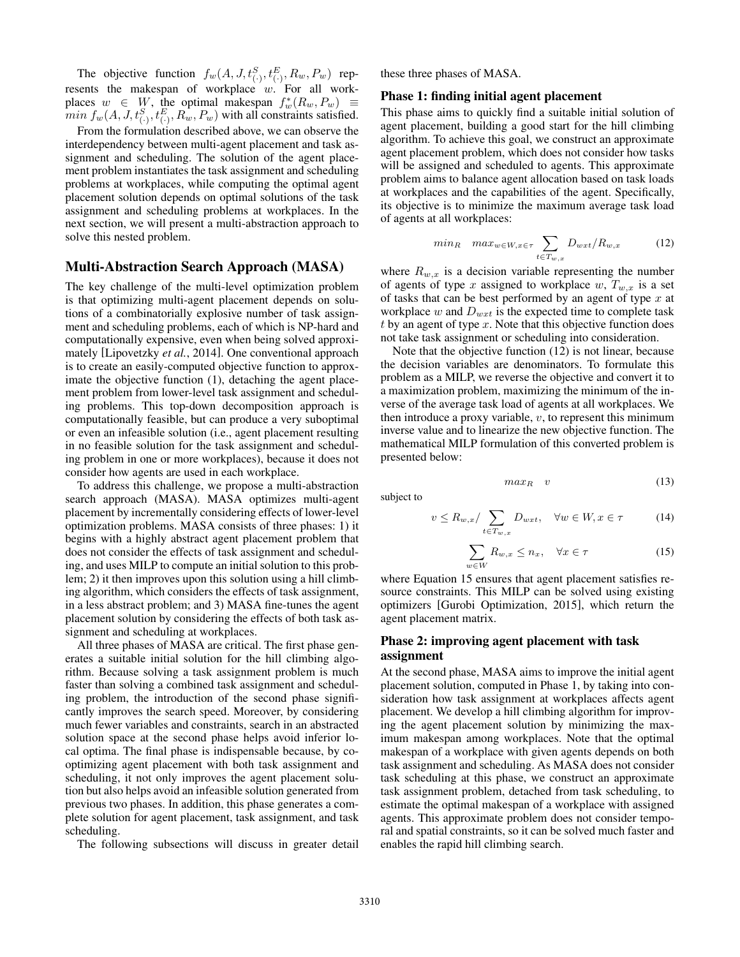The objective function  $f_w(A, J, t^S_{(\cdot)}, t^E_{(\cdot)}, R_w, P_w)$  represents the makespan of workplace *w*. For all workplaces  $w \in W$ , the optimal makespan  $f_w^*(R_w, P_w) \equiv$ *min f<sub>w</sub>*(*A, J, t*<sup>*S*</sup><sub>(*i*</sub>)*, t*<sup>*E*</sup><sub>(*i*</sub>)*, R<sub><i>w*</sub>, *P<sub>w</sub>*) with all constraints satisfied.

From the formulation described above, we can observe the interdependency between multi-agent placement and task assignment and scheduling. The solution of the agent placement problem instantiates the task assignment and scheduling problems at workplaces, while computing the optimal agent placement solution depends on optimal solutions of the task assignment and scheduling problems at workplaces. In the next section, we will present a multi-abstraction approach to solve this nested problem.

### Multi-Abstraction Search Approach (MASA)

The key challenge of the multi-level optimization problem is that optimizing multi-agent placement depends on solutions of a combinatorially explosive number of task assignment and scheduling problems, each of which is NP-hard and computationally expensive, even when being solved approximately [Lipovetzky *et al.*, 2014]. One conventional approach is to create an easily-computed objective function to approximate the objective function (1), detaching the agent placement problem from lower-level task assignment and scheduling problems. This top-down decomposition approach is computationally feasible, but can produce a very suboptimal or even an infeasible solution (i.e., agent placement resulting in no feasible solution for the task assignment and scheduling problem in one or more workplaces), because it does not consider how agents are used in each workplace.

To address this challenge, we propose a multi-abstraction search approach (MASA). MASA optimizes multi-agent placement by incrementally considering effects of lower-level optimization problems. MASA consists of three phases: 1) it begins with a highly abstract agent placement problem that does not consider the effects of task assignment and scheduling, and uses MILP to compute an initial solution to this problem; 2) it then improves upon this solution using a hill climbing algorithm, which considers the effects of task assignment, in a less abstract problem; and 3) MASA fine-tunes the agent placement solution by considering the effects of both task assignment and scheduling at workplaces.

All three phases of MASA are critical. The first phase generates a suitable initial solution for the hill climbing algorithm. Because solving a task assignment problem is much faster than solving a combined task assignment and scheduling problem, the introduction of the second phase significantly improves the search speed. Moreover, by considering much fewer variables and constraints, search in an abstracted solution space at the second phase helps avoid inferior local optima. The final phase is indispensable because, by cooptimizing agent placement with both task assignment and scheduling, it not only improves the agent placement solution but also helps avoid an infeasible solution generated from previous two phases. In addition, this phase generates a complete solution for agent placement, task assignment, and task scheduling.

The following subsections will discuss in greater detail

these three phases of MASA.

#### Phase 1: finding initial agent placement

This phase aims to quickly find a suitable initial solution of agent placement, building a good start for the hill climbing algorithm. To achieve this goal, we construct an approximate agent placement problem, which does not consider how tasks will be assigned and scheduled to agents. This approximate problem aims to balance agent allocation based on task loads at workplaces and the capabilities of the agent. Specifically, its objective is to minimize the maximum average task load of agents at all workplaces:

$$
minR maxw \in W, x \in \tau} \sum_{t \in T_{w,x}} D_{wxt} / R_{w,x}
$$
 (12)

where  $R_{w,x}$  is a decision variable representing the number of agents of type *x* assigned to workplace  $w, T_{w,x}$  is a set of tasks that can be best performed by an agent of type *x* at workplace  $w$  and  $D_{wxt}$  is the expected time to complete task *t* by an agent of type *x*. Note that this objective function does not take task assignment or scheduling into consideration.

Note that the objective function (12) is not linear, because the decision variables are denominators. To formulate this problem as a MILP, we reverse the objective and convert it to a maximization problem, maximizing the minimum of the inverse of the average task load of agents at all workplaces. We then introduce a proxy variable, *v*, to represent this minimum inverse value and to linearize the new objective function. The mathematical MILP formulation of this converted problem is presented below:

$$
maxR v \t\t(13)
$$

subject to

$$
v \le R_{w,x}/\sum_{t \in T_{w,x}} D_{wxt}, \quad \forall w \in W, x \in \tau \tag{14}
$$

$$
\sum_{w \in W} R_{w,x} \le n_x, \quad \forall x \in \tau \tag{15}
$$

where Equation 15 ensures that agent placement satisfies resource constraints. This MILP can be solved using existing optimizers [Gurobi Optimization, 2015], which return the agent placement matrix.

### Phase 2: improving agent placement with task assignment

At the second phase, MASA aims to improve the initial agent placement solution, computed in Phase 1, by taking into consideration how task assignment at workplaces affects agent placement. We develop a hill climbing algorithm for improving the agent placement solution by minimizing the maximum makespan among workplaces. Note that the optimal makespan of a workplace with given agents depends on both task assignment and scheduling. As MASA does not consider task scheduling at this phase, we construct an approximate task assignment problem, detached from task scheduling, to estimate the optimal makespan of a workplace with assigned agents. This approximate problem does not consider temporal and spatial constraints, so it can be solved much faster and enables the rapid hill climbing search.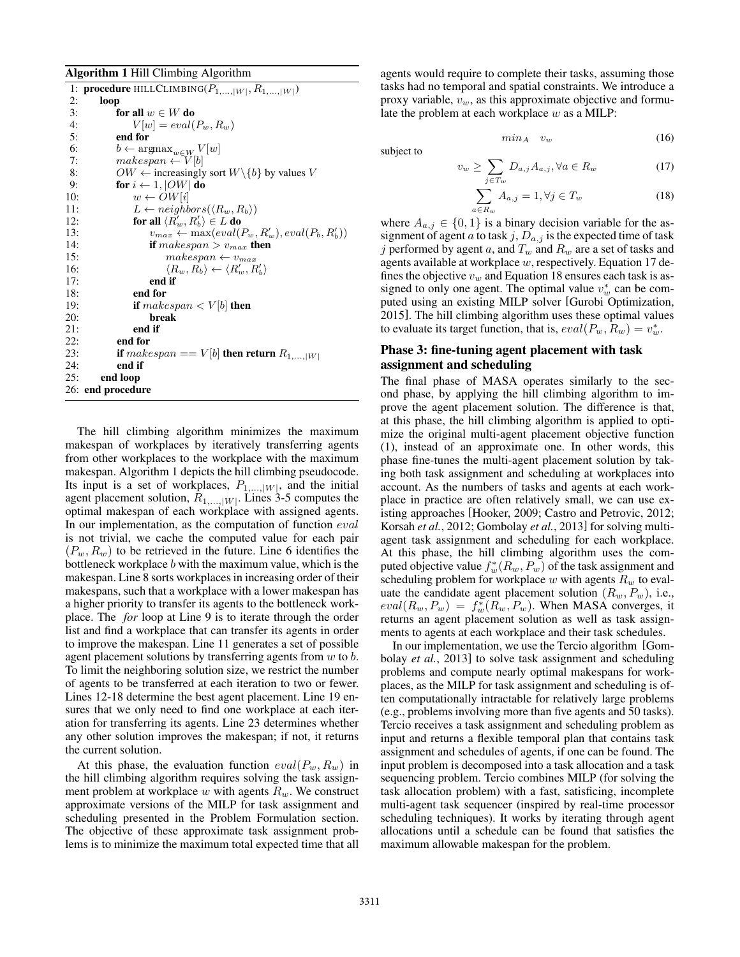#### Algorithm 1 Hill Climbing Algorithm

|     | 1: <b>procedure</b> HILLCLIMBING( $P_{1,, W }, R_{1,, W }$ )      |
|-----|-------------------------------------------------------------------|
| 2:  | loop                                                              |
| 3:  | for all $w \in W$ do                                              |
| 4:  | $V w  = eval(P_w, R_w)$                                           |
| 5:  | end for                                                           |
| 6:  | $b \leftarrow \operatorname{argmax}_{w \in W} V[w]$               |
| 7:  | $makespan \leftarrow V[b]$                                        |
| 8:  | $OW \leftarrow$ increasingly sort $W \setminus \{b\}$ by values V |
| 9:  | for $i \leftarrow 1$ ,  OW  do                                    |
| 10: | $w \leftarrow OW[i]$                                              |
| 11: | $L \leftarrow neighbors(\langle R_w, R_b \rangle)$                |
| 12: | for all $\langle R'_w, R'_b \rangle \in L$ do                     |
| 13: | $v_{max} \leftarrow \max(eval(P_w, R'_w), eval(P_b, R'_b))$       |
| 14: | if $makespan > v_{max}$ then                                      |
| 15: | $makespan \leftarrow v_{max}$                                     |
| 16: | $\langle R_w, R_b \rangle \leftarrow \langle R'_w, R'_b \rangle$  |
| 17: | end if                                                            |
| 18: | end for                                                           |
| 19: | if makespan $\lt V[b]$ then                                       |
| 20: | break                                                             |
| 21: | end if                                                            |
| 22: | end for                                                           |
| 23: | if makespan == $V[b]$ then return $R_{1,, W }$                    |
| 24: | end if                                                            |
| 25: | end loop                                                          |
|     | 26: end procedure                                                 |

The hill climbing algorithm minimizes the maximum makespan of workplaces by iteratively transferring agents from other workplaces to the workplace with the maximum makespan. Algorithm 1 depicts the hill climbing pseudocode. Its input is a set of workplaces,  $P_{1,\dots,|W|}$ , and the initial agent placement solution, *R*1*,...,|W|*. Lines 3-5 computes the optimal makespan of each workplace with assigned agents. In our implementation, as the computation of function *eval* is not trivial, we cache the computed value for each pair  $(P_w, R_w)$  to be retrieved in the future. Line 6 identifies the bottleneck workplace *b* with the maximum value, which is the makespan. Line 8 sorts workplaces in increasing order of their makespans, such that a workplace with a lower makespan has a higher priority to transfer its agents to the bottleneck workplace. The *for* loop at Line 9 is to iterate through the order list and find a workplace that can transfer its agents in order to improve the makespan. Line 11 generates a set of possible agent placement solutions by transferring agents from *w* to *b*. To limit the neighboring solution size, we restrict the number of agents to be transferred at each iteration to two or fewer. Lines 12-18 determine the best agent placement. Line 19 ensures that we only need to find one workplace at each iteration for transferring its agents. Line 23 determines whether any other solution improves the makespan; if not, it returns the current solution.

At this phase, the evaluation function  $eval(P_w, R_w)$  in the hill climbing algorithm requires solving the task assignment problem at workplace *w* with agents *Rw*. We construct approximate versions of the MILP for task assignment and scheduling presented in the Problem Formulation section. The objective of these approximate task assignment problems is to minimize the maximum total expected time that all agents would require to complete their tasks, assuming those tasks had no temporal and spatial constraints. We introduce a proxy variable, *vw*, as this approximate objective and formulate the problem at each workplace *w* as a MILP:

subject to

$$
v_w \geq \sum D_{a,j} A_{a,j}, \forall a \in R_w \tag{17}
$$

 $min_A$  *v*<sub>*w*</sub> (16)

$$
\sum_{a \in R_w}^{j \in T_w} A_{a,j} = 1, \forall j \in T_w \tag{18}
$$

where  $A_{a,j} \in \{0,1\}$  is a binary decision variable for the assignment of agent *a* to task  $j$ ,  $D_{a,j}$  is the expected time of task *j* performed by agent *a*, and *T<sup>w</sup>* and *R<sup>w</sup>* are a set of tasks and agents available at workplace *w*, respectively. Equation 17 defines the objective *v<sup>w</sup>* and Equation 18 ensures each task is assigned to only one agent. The optimal value  $v_w^*$  can be computed using an existing MILP solver [Gurobi Optimization, 2015]. The hill climbing algorithm uses these optimal values to evaluate its target function, that is,  $eval(P_w, R_w) = v_w^*$ .

### Phase 3: fine-tuning agent placement with task assignment and scheduling

The final phase of MASA operates similarly to the second phase, by applying the hill climbing algorithm to improve the agent placement solution. The difference is that, at this phase, the hill climbing algorithm is applied to optimize the original multi-agent placement objective function (1), instead of an approximate one. In other words, this phase fine-tunes the multi-agent placement solution by taking both task assignment and scheduling at workplaces into account. As the numbers of tasks and agents at each workplace in practice are often relatively small, we can use existing approaches [Hooker, 2009; Castro and Petrovic, 2012; Korsah *et al.*, 2012; Gombolay *et al.*, 2013] for solving multiagent task assignment and scheduling for each workplace. At this phase, the hill climbing algorithm uses the computed objective value  $f_w^*(R_w, P_w)$  of the task assignment and scheduling problem for workplace  $w$  with agents  $R_w$  to evaluate the candidate agent placement solution  $(R_w, P_w)$ , i.e.,  $eval(R_w, P_w) = f_w^*(R_w, P_w)$ . When MASA converges, it returns an agent placement solution as well as task assignments to agents at each workplace and their task schedules.

In our implementation, we use the Tercio algorithm [Gombolay *et al.*, 2013] to solve task assignment and scheduling problems and compute nearly optimal makespans for workplaces, as the MILP for task assignment and scheduling is often computationally intractable for relatively large problems (e.g., problems involving more than five agents and 50 tasks). Tercio receives a task assignment and scheduling problem as input and returns a flexible temporal plan that contains task assignment and schedules of agents, if one can be found. The input problem is decomposed into a task allocation and a task sequencing problem. Tercio combines MILP (for solving the task allocation problem) with a fast, satisficing, incomplete multi-agent task sequencer (inspired by real-time processor scheduling techniques). It works by iterating through agent allocations until a schedule can be found that satisfies the maximum allowable makespan for the problem.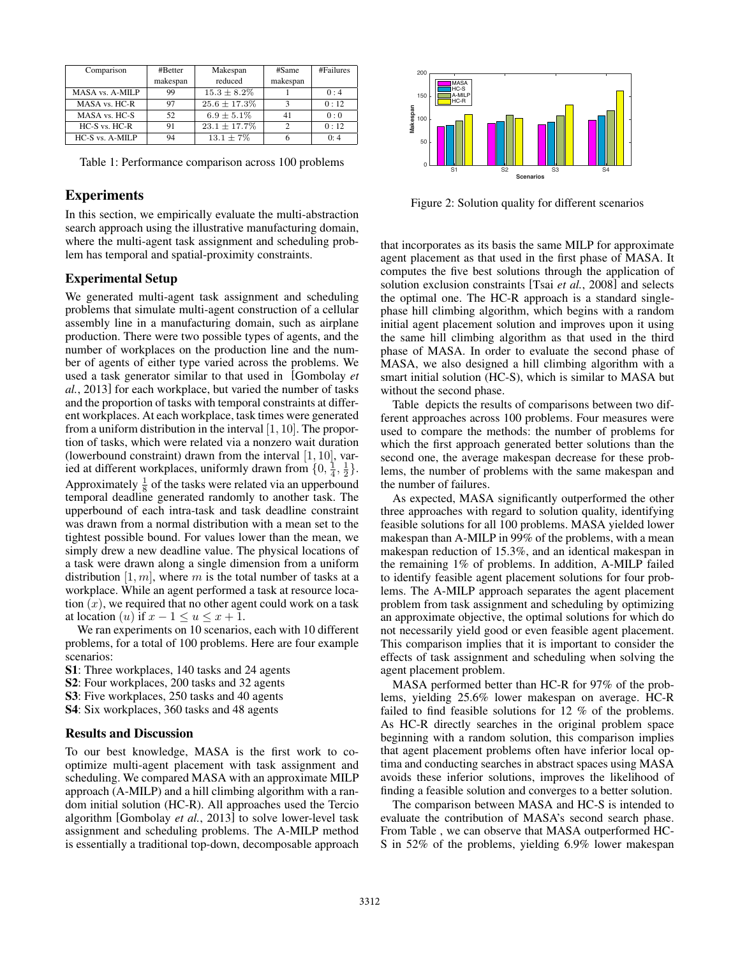| Comparison      | #Better  | Makespan          | #Same    | #Failures |
|-----------------|----------|-------------------|----------|-----------|
|                 | makespan | reduced           | makespan |           |
| MASA vs. A-MILP | 99       | $15.3 \pm 8.2\%$  |          | 0.4       |
| MASA vs. HC-R   | 97       | $25.6 \pm 17.3\%$ |          | 0:12      |
| MASA vs. HC-S   | 52       | $6.9 \pm 5.1\%$   | 41       | 0:0       |
| HC-S vs. HC-R   | 91       | $23.1 \pm 17.7\%$ |          | 0:12      |
| HC-S vs. A-MILP | 94       | $13.1 \pm 7\%$    |          | 0:4       |

Table 1: Performance comparison across 100 problems

# Experiments

In this section, we empirically evaluate the multi-abstraction search approach using the illustrative manufacturing domain, where the multi-agent task assignment and scheduling problem has temporal and spatial-proximity constraints.

#### Experimental Setup

We generated multi-agent task assignment and scheduling problems that simulate multi-agent construction of a cellular assembly line in a manufacturing domain, such as airplane production. There were two possible types of agents, and the number of workplaces on the production line and the number of agents of either type varied across the problems. We used a task generator similar to that used in [Gombolay *et al.*, 2013] for each workplace, but varied the number of tasks and the proportion of tasks with temporal constraints at different workplaces. At each workplace, task times were generated from a uniform distribution in the interval [1*,* 10]. The proportion of tasks, which were related via a nonzero wait duration (lowerbound constraint) drawn from the interval [1*,* 10], varied at different workplaces, uniformly drawn from  $\{0, \frac{1}{4}, \frac{1}{2}\}.$ Approximately  $\frac{1}{8}$  of the tasks were related via an upperbound temporal deadline generated randomly to another task. The upperbound of each intra-task and task deadline constraint was drawn from a normal distribution with a mean set to the tightest possible bound. For values lower than the mean, we simply drew a new deadline value. The physical locations of a task were drawn along a single dimension from a uniform distribution [1*, m*], where *m* is the total number of tasks at a workplace. While an agent performed a task at resource location (*x*), we required that no other agent could work on a task at location (*u*) if  $x - 1 \le u \le x + 1$ .

We ran experiments on 10 scenarios, each with 10 different problems, for a total of 100 problems. Here are four example scenarios:

- S1: Three workplaces, 140 tasks and 24 agents
- S2: Four workplaces, 200 tasks and 32 agents
- S3: Five workplaces, 250 tasks and 40 agents
- S4: Six workplaces, 360 tasks and 48 agents

#### Results and Discussion

To our best knowledge, MASA is the first work to cooptimize multi-agent placement with task assignment and scheduling. We compared MASA with an approximate MILP approach (A-MILP) and a hill climbing algorithm with a random initial solution (HC-R). All approaches used the Tercio algorithm [Gombolay *et al.*, 2013] to solve lower-level task assignment and scheduling problems. The A-MILP method is essentially a traditional top-down, decomposable approach



Figure 2: Solution quality for different scenarios

that incorporates as its basis the same MILP for approximate agent placement as that used in the first phase of MASA. It computes the five best solutions through the application of solution exclusion constraints [Tsai *et al.*, 2008] and selects the optimal one. The HC-R approach is a standard singlephase hill climbing algorithm, which begins with a random initial agent placement solution and improves upon it using the same hill climbing algorithm as that used in the third phase of MASA. In order to evaluate the second phase of MASA, we also designed a hill climbing algorithm with a smart initial solution (HC-S), which is similar to MASA but without the second phase.

Table depicts the results of comparisons between two different approaches across 100 problems. Four measures were used to compare the methods: the number of problems for which the first approach generated better solutions than the second one, the average makespan decrease for these problems, the number of problems with the same makespan and the number of failures.

As expected, MASA significantly outperformed the other three approaches with regard to solution quality, identifying feasible solutions for all 100 problems. MASA yielded lower makespan than A-MILP in 99% of the problems, with a mean makespan reduction of 15.3%, and an identical makespan in the remaining 1% of problems. In addition, A-MILP failed to identify feasible agent placement solutions for four problems. The A-MILP approach separates the agent placement problem from task assignment and scheduling by optimizing an approximate objective, the optimal solutions for which do not necessarily yield good or even feasible agent placement. This comparison implies that it is important to consider the effects of task assignment and scheduling when solving the agent placement problem.

MASA performed better than HC-R for 97% of the problems, yielding 25.6% lower makespan on average. HC-R failed to find feasible solutions for 12 % of the problems. As HC-R directly searches in the original problem space beginning with a random solution, this comparison implies that agent placement problems often have inferior local optima and conducting searches in abstract spaces using MASA avoids these inferior solutions, improves the likelihood of finding a feasible solution and converges to a better solution.

The comparison between MASA and HC-S is intended to evaluate the contribution of MASA's second search phase. From Table , we can observe that MASA outperformed HC-S in 52% of the problems, yielding 6.9% lower makespan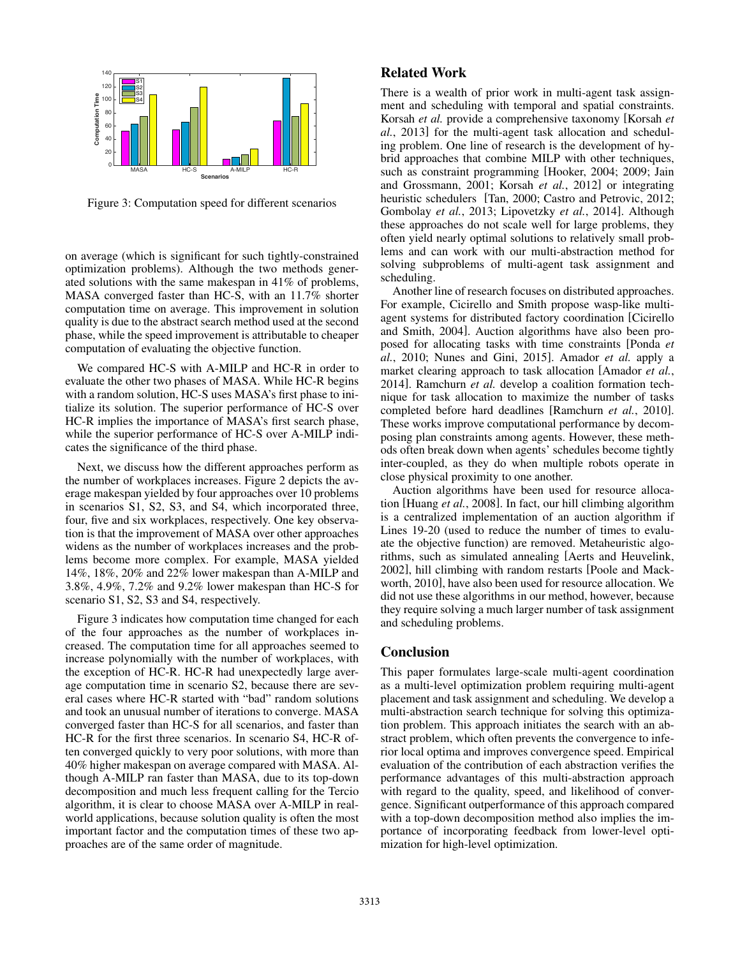

Figure 3: Computation speed for different scenarios

on average (which is significant for such tightly-constrained optimization problems). Although the two methods generated solutions with the same makespan in 41% of problems, MASA converged faster than HC-S, with an 11.7% shorter computation time on average. This improvement in solution quality is due to the abstract search method used at the second phase, while the speed improvement is attributable to cheaper computation of evaluating the objective function.

We compared HC-S with A-MILP and HC-R in order to evaluate the other two phases of MASA. While HC-R begins with a random solution, HC-S uses MASA's first phase to initialize its solution. The superior performance of HC-S over HC-R implies the importance of MASA's first search phase, while the superior performance of HC-S over A-MILP indicates the significance of the third phase.

Next, we discuss how the different approaches perform as the number of workplaces increases. Figure 2 depicts the average makespan yielded by four approaches over 10 problems in scenarios S1, S2, S3, and S4, which incorporated three, four, five and six workplaces, respectively. One key observation is that the improvement of MASA over other approaches widens as the number of workplaces increases and the problems become more complex. For example, MASA yielded 14%, 18%, 20% and 22% lower makespan than A-MILP and 3.8%, 4.9%, 7.2% and 9.2% lower makespan than HC-S for scenario S1, S2, S3 and S4, respectively.

Figure 3 indicates how computation time changed for each of the four approaches as the number of workplaces increased. The computation time for all approaches seemed to increase polynomially with the number of workplaces, with the exception of HC-R. HC-R had unexpectedly large average computation time in scenario S2, because there are several cases where HC-R started with "bad" random solutions and took an unusual number of iterations to converge. MASA converged faster than HC-S for all scenarios, and faster than HC-R for the first three scenarios. In scenario S4, HC-R often converged quickly to very poor solutions, with more than 40% higher makespan on average compared with MASA. Although A-MILP ran faster than MASA, due to its top-down decomposition and much less frequent calling for the Tercio algorithm, it is clear to choose MASA over A-MILP in realworld applications, because solution quality is often the most important factor and the computation times of these two approaches are of the same order of magnitude.

# Related Work

There is a wealth of prior work in multi-agent task assignment and scheduling with temporal and spatial constraints. Korsah *et al.* provide a comprehensive taxonomy [Korsah *et al.*, 2013] for the multi-agent task allocation and scheduling problem. One line of research is the development of hybrid approaches that combine MILP with other techniques, such as constraint programming [Hooker, 2004; 2009; Jain and Grossmann, 2001; Korsah *et al.*, 2012] or integrating heuristic schedulers [Tan, 2000; Castro and Petrovic, 2012; Gombolay *et al.*, 2013; Lipovetzky *et al.*, 2014]. Although these approaches do not scale well for large problems, they often yield nearly optimal solutions to relatively small problems and can work with our multi-abstraction method for solving subproblems of multi-agent task assignment and scheduling.

Another line of research focuses on distributed approaches. For example, Cicirello and Smith propose wasp-like multiagent systems for distributed factory coordination [Cicirello and Smith, 2004]. Auction algorithms have also been proposed for allocating tasks with time constraints [Ponda *et al.*, 2010; Nunes and Gini, 2015]. Amador *et al.* apply a market clearing approach to task allocation [Amador *et al.*, 2014]. Ramchurn *et al.* develop a coalition formation technique for task allocation to maximize the number of tasks completed before hard deadlines [Ramchurn *et al.*, 2010]. These works improve computational performance by decomposing plan constraints among agents. However, these methods often break down when agents' schedules become tightly inter-coupled, as they do when multiple robots operate in close physical proximity to one another.

Auction algorithms have been used for resource allocation [Huang *et al.*, 2008]. In fact, our hill climbing algorithm is a centralized implementation of an auction algorithm if Lines 19-20 (used to reduce the number of times to evaluate the objective function) are removed. Metaheuristic algorithms, such as simulated annealing [Aerts and Heuvelink, 2002], hill climbing with random restarts [Poole and Mackworth, 2010], have also been used for resource allocation. We did not use these algorithms in our method, however, because they require solving a much larger number of task assignment and scheduling problems.

# **Conclusion**

This paper formulates large-scale multi-agent coordination as a multi-level optimization problem requiring multi-agent placement and task assignment and scheduling. We develop a multi-abstraction search technique for solving this optimization problem. This approach initiates the search with an abstract problem, which often prevents the convergence to inferior local optima and improves convergence speed. Empirical evaluation of the contribution of each abstraction verifies the performance advantages of this multi-abstraction approach with regard to the quality, speed, and likelihood of convergence. Significant outperformance of this approach compared with a top-down decomposition method also implies the importance of incorporating feedback from lower-level optimization for high-level optimization.